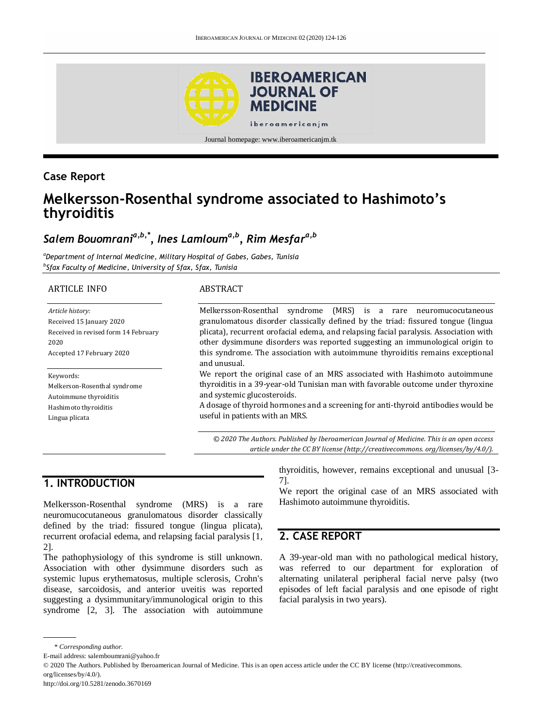

## **Case Report**

# **Melkersson-Rosenthal syndrome associated to Hashimoto's thyroiditis**

# *Salem Bouomrania,b,\*, Ines Lamlouma,b, Rim Mesfara,b*

*<sup>a</sup>Department of Internal Medicine, Military Hospital of Gabes, Gabes, Tunisia b Sfax Faculty of Medicine, University of Sfax, Sfax, Tunisia*

#### ARTICLE INFO

*Article history:* Received 15 January 2020 Received in revised form 14 February 2020 Accepted 17 February 2020

#### Keywords:

Melkerson-Rosenthal syndrome Autoimmune thyroiditis Hashimoto thyroiditis Lingua plicata

#### ABSTRACT

Melkersson-Rosenthal syndrome (MRS) is a rare neuromucocutaneous granulomatous disorder classically defined by the triad: fissured tongue (lingua plicata), recurrent orofacial edema, and relapsing facial paralysis. Association with other dysimmune disorders was reported suggesting an immunological origin to this syndrome. The association with autoimmune thyroiditis remains exceptional and unusual.

We report the original case of an MRS associated with Hashimoto autoimmune thyroiditis in a 39-year-old Tunisian man with favorable outcome under thyroxine and systemic glucosteroids.

A dosage of thyroid hormones and a screening for anti-thyroid antibodies would be useful in patients with an MRS.

*© 2020 The Authors. Published by Iberoamerican Journal of Medicine. This is an open access article under the CC BY license (http:/[/creativecommons. org/licenses/by/4.0/\)](https://creativecommons.org/licenses/by/4.0/).*

## **1. INTRODUCTION**

Melkersson-Rosenthal syndrome (MRS) is a rare neuromucocutaneous granulomatous disorder classically defined by the triad: fissured tongue (lingua plicata), recurrent orofacial edema, and relapsing facial paralysis [1, 2].

The pathophysiology of this syndrome is still unknown. Association with other dysimmune disorders such as systemic lupus erythematosus, multiple sclerosis, Crohn's disease, sarcoidosis, and anterior uveitis was reported suggesting a dysimmunitary/immunological origin to this syndrome [2, 3]. The association with autoimmune thyroiditis, however, remains exceptional and unusual [3- 7].

We report the original case of an MRS associated with Hashimoto autoimmune thyroiditis.

## **2. CASE REPORT**

A 39-year-old man with no pathological medical history, was referred to our department for exploration of alternating unilateral peripheral facial nerve palsy (two episodes of left facial paralysis and one episode of right facial paralysis in two years).

<sup>\*</sup> *Corresponding author.*

E-mail address: salemboumrani@yahoo.fr

<sup>© 2020</sup> The Authors. Published by Iberoamerican Journal of Medicine. This is an open access article under the CC BY license (http://creativecommons. org/licenses/by/4.0/).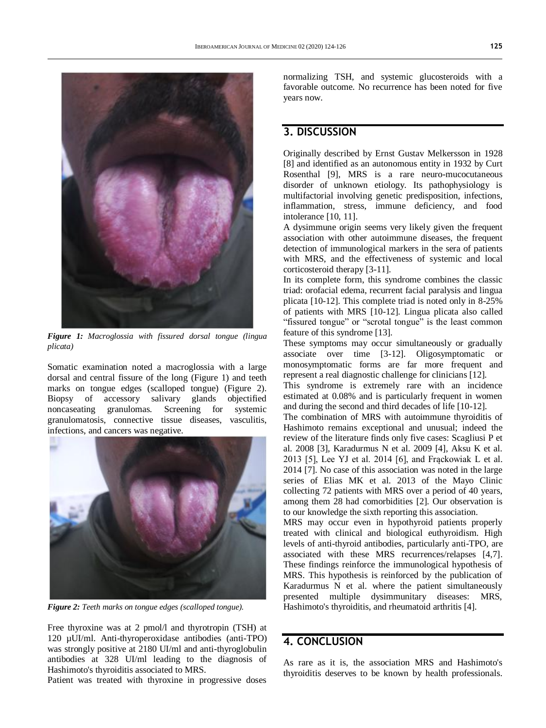

*Figure 1: Macroglossia with fissured dorsal tongue (lingua plicata)*

Somatic examination noted a macroglossia with a large dorsal and central fissure of the long (Figure 1) and teeth marks on tongue edges (scalloped tongue) (Figure 2). Biopsy of accessory salivary glands objectified noncaseating granulomas. Screening for systemic granulomatosis, connective tissue diseases, vasculitis, infections, and cancers was negative.



*Figure 2: Teeth marks on tongue edges (scalloped tongue).*

Free thyroxine was at 2 pmol/l and thyrotropin (TSH) at 120 µUI/ml. Anti-thyroperoxidase antibodies (anti-TPO) was strongly positive at 2180 UI/ml and anti-thyroglobulin antibodies at 328 UI/ml leading to the diagnosis of Hashimoto's thyroiditis associated to MRS.

Patient was treated with thyroxine in progressive doses

normalizing TSH, and systemic glucosteroids with a favorable outcome. No recurrence has been noted for five years now.

### **3. DISCUSSION**

Originally described by Ernst Gustav Melkersson in 1928 [8] and identified as an autonomous entity in 1932 by Curt Rosenthal [9], MRS is a rare neuro-mucocutaneous disorder of unknown etiology. Its pathophysiology is multifactorial involving genetic predisposition, infections, inflammation, stress, immune deficiency, and food intolerance [10, 11].

A dysimmune origin seems very likely given the frequent association with other autoimmune diseases, the frequent detection of immunological markers in the sera of patients with MRS, and the effectiveness of systemic and local corticosteroid therapy [3-11].

In its complete form, this syndrome combines the classic triad: orofacial edema, recurrent facial paralysis and lingua plicata [10-12]. This complete triad is noted only in 8-25% of patients with MRS [10-12]. Lingua plicata also called "fissured tongue" or "scrotal tongue" is the least common feature of this syndrome [13].

These symptoms may occur simultaneously or gradually associate over time [3-12]. Oligosymptomatic or monosymptomatic forms are far more frequent and represent a real diagnostic challenge for clinicians [12].

This syndrome is extremely rare with an incidence estimated at 0.08% and is particularly frequent in women and during the second and third decades of life [10-12].

The combination of MRS with autoimmune thyroiditis of Hashimoto remains exceptional and unusual; indeed the review of the literature finds only five cases: Scagliusi P et al. 2008 [3], Karadurmus N et al. 2009 [4], Aksu K et al. 2013 [5], Lee YJ et al. 2014 [6], and Frąckowiak L et al. 2014 [7]. No case of this association was noted in the large series of Elias MK et al. 2013 of the Mayo Clinic collecting 72 patients with MRS over a period of 40 years, among them 28 had comorbidities [2]. Our observation is to our knowledge the sixth reporting this association.

MRS may occur even in hypothyroid patients properly treated with clinical and biological euthyroidism. High levels of anti-thyroid antibodies, particularly anti-TPO, are associated with these MRS recurrences/relapses [4,7]. These findings reinforce the immunological hypothesis of MRS. This hypothesis is reinforced by the publication of Karadurmus N et al. where the patient simultaneously presented multiple dysimmunitary diseases: MRS, Hashimoto's thyroiditis, and rheumatoid arthritis [4].

### **4. CONCLUSION**

As rare as it is, the association MRS and Hashimoto's thyroiditis deserves to be known by health professionals.